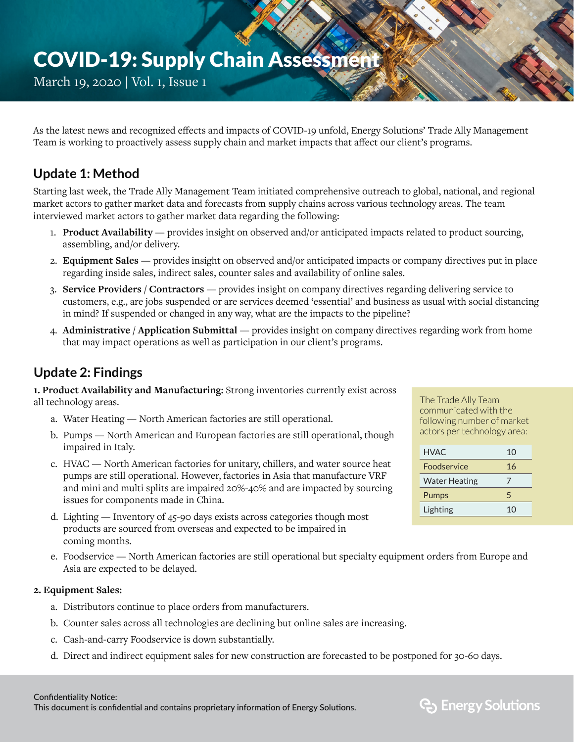# COVID-19: Supply Chain Assessment

March 19, 2020 | Vol. 1, Issue 1

As the latest news and recognized effects and impacts of COVID-19 unfold, Energy Solutions' Trade Ally Management Team is working to proactively assess supply chain and market impacts that affect our client's programs.

# **Update 1: Method**

Starting last week, the Trade Ally Management Team initiated comprehensive outreach to global, national, and regional market actors to gather market data and forecasts from supply chains across various technology areas. The team interviewed market actors to gather market data regarding the following:

- 1. **Product Availability** provides insight on observed and/or anticipated impacts related to product sourcing, assembling, and/or delivery.
- 2. **Equipment Sales** provides insight on observed and/or anticipated impacts or company directives put in place regarding inside sales, indirect sales, counter sales and availability of online sales.
- 3. **Service Providers / Contractors** provides insight on company directives regarding delivering service to customers, e.g., are jobs suspended or are services deemed 'essential' and business as usual with social distancing in mind? If suspended or changed in any way, what are the impacts to the pipeline?
- 4. **Administrative / Application Submittal** provides insight on company directives regarding work from home that may impact operations as well as participation in our client's programs.

### **Update 2: Findings**

**1. Product Availability and Manufacturing:** Strong inventories currently exist across all technology areas.

- a. Water Heating North American factories are still operational.
- b. Pumps North American and European factories are still operational, though impaired in Italy.
- c. HVAC North American factories for unitary, chillers, and water source heat pumps are still operational. However, factories in Asia that manufacture VRF and mini and multi splits are impaired 20%-40% and are impacted by sourcing issues for components made in China.
- d. Lighting Inventory of 45-90 days exists across categories though most products are sourced from overseas and expected to be impaired in coming months.
- e. Foodservice North American factories are still operational but specialty equipment orders from Europe and Asia are expected to be delayed.

#### **2. Equipment Sales:**

- a. Distributors continue to place orders from manufacturers.
- b. Counter sales across all technologies are declining but online sales are increasing.
- c. Cash-and-carry Foodservice is down substantially.
- d. Direct and indirect equipment sales for new construction are forecasted to be postponed for 30-60 days.

The Trade Ally Team communicated with the following number of market actors per technology area:

| HVAC.                | 10             |
|----------------------|----------------|
| Foodservice          | 16             |
| <b>Water Heating</b> | 7              |
| Pumps                | 5              |
| Lighting             | 1 <sub>0</sub> |